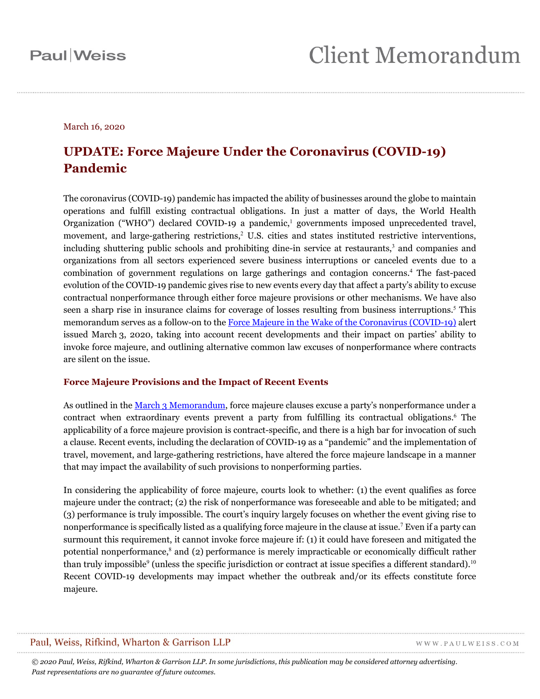March 16, 2020

### **UPDATE: Force Majeure Under the Coronavirus (COVID-19) Pandemic**

The coronavirus (COVID-19) pandemic has impacted the ability of businesses around the globe to maintain operations and fulfill existing contractual obligations. In just a matter of days, the World Health Organization ("WHO") declared COVID-19 a pandemic,<sup>1</sup> governments imposed unprecedented travel, movement, and large-gathering restrictions, <sup>2</sup> U.S. cities and states instituted restrictive interventions, including shuttering public schools and prohibiting dine-in service at restaurants,<sup>3</sup> and companies and organizations from all sectors experienced severe business interruptions or canceled events due to a combination of government regulations on large gatherings and contagion concerns. <sup>4</sup> The fast-paced evolution of the COVID-19 pandemic gives rise to new events every day that affect a party's ability to excuse contractual nonperformance through either force majeure provisions or other mechanisms. We have also seen a sharp rise in insurance claims for coverage of losses resulting from business interruptions.<sup>5</sup> This memorandum serves as a follow-on to the Force Majeure in the Wake of [the Coronavirus \(COVID-19\)](https://www.paulweiss.com/practices/litigation/litigation/publications/force-majeure-in-the-wake-of-the-coronavirus-covid-19?id=30746) alert issued March 3, 2020, taking into account recent developments and their impact on parties' ability to invoke force majeure, and outlining alternative common law excuses of nonperformance where contracts are silent on the issue.

#### **Force Majeure Provisions and the Impact of Recent Events**

As outlined in the March [3 Memorandum,](https://www.paulweiss.com/practices/litigation/litigation/publications/force-majeure-in-the-wake-of-the-coronavirus-covid-19?id=30746) force majeure clauses excuse a party's nonperformance under a contract when extraordinary events prevent a party from fulfilling its contractual obligations.<sup>6</sup> The applicability of a force majeure provision is contract-specific, and there is a high bar for invocation of such a clause. Recent events, including the declaration of COVID-19 as a "pandemic" and the implementation of travel, movement, and large-gathering restrictions, have altered the force majeure landscape in a manner that may impact the availability of such provisions to nonperforming parties.

In considering the applicability of force majeure, courts look to whether: (1) the event qualifies as force majeure under the contract; (2) the risk of nonperformance was foreseeable and able to be mitigated; and (3) performance is truly impossible. The court's inquiry largely focuses on whether the event giving rise to nonperformance is specifically listed as a qualifying force majeure in the clause at issue. <sup>7</sup> Even if a party can surmount this requirement, it cannot invoke force majeure if: (1) it could have foreseen and mitigated the potential nonperformance,<sup>8</sup> and (2) performance is merely impracticable or economically difficult rather than truly impossible<sup>9</sup> (unless the specific jurisdiction or contract at issue specifies a different standard).<sup>10</sup> Recent COVID-19 developments may impact whether the outbreak and/or its effects constitute force majeure.

#### Paul, Weiss, Rifkind, Wharton & Garrison LLP

WWW.PAULWEISS.COM

*© 2020 Paul, Weiss, Rifkind, Wharton & Garrison LLP. In some jurisdictions, this publication may be considered attorney advertising. Past representations are no guarantee of future outcomes.*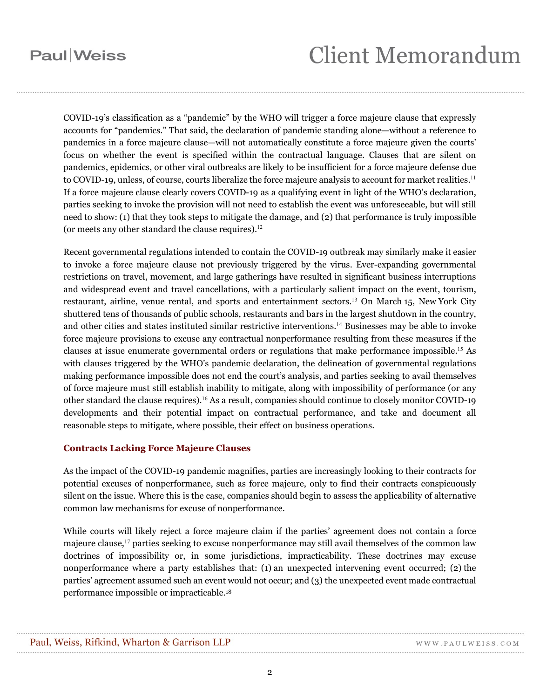# **Client Memorandum**

COVID-19's classification as a "pandemic" by the WHO will trigger a force majeure clause that expressly accounts for "pandemics." That said, the declaration of pandemic standing alone—without a reference to pandemics in a force majeure clause—will not automatically constitute a force majeure given the courts' focus on whether the event is specified within the contractual language. Clauses that are silent on pandemics, epidemics, or other viral outbreaks are likely to be insufficient for a force majeure defense due to COVID-19, unless, of course, courts liberalize the force majeure analysis to account for market realities.<sup>11</sup> If a force majeure clause clearly covers COVID-19 as a qualifying event in light of the WHO's declaration, parties seeking to invoke the provision will not need to establish the event was unforeseeable, but will still need to show: (1) that they took steps to mitigate the damage, and (2) that performance is truly impossible (or meets any other standard the clause requires). 12

Recent governmental regulations intended to contain the COVID-19 outbreak may similarly make it easier to invoke a force majeure clause not previously triggered by the virus. Ever-expanding governmental restrictions on travel, movement, and large gatherings have resulted in significant business interruptions and widespread event and travel cancellations, with a particularly salient impact on the event, tourism, restaurant, airline, venue rental, and sports and entertainment sectors.<sup>13</sup> On March 15, New York City shuttered tens of thousands of public schools, restaurants and bars in the largest shutdown in the country, and other cities and states instituted similar restrictive interventions. <sup>14</sup> Businesses may be able to invoke force majeure provisions to excuse any contractual nonperformance resulting from these measures if the clauses at issue enumerate governmental orders or regulations that make performance impossible.<sup>15</sup> As with clauses triggered by the WHO's pandemic declaration, the delineation of governmental regulations making performance impossible does not end the court's analysis, and parties seeking to avail themselves of force majeure must still establish inability to mitigate, along with impossibility of performance (or any other standard the clause requires). <sup>16</sup> As a result, companies should continue to closely monitor COVID-19 developments and their potential impact on contractual performance, and take and document all reasonable steps to mitigate, where possible, their effect on business operations.

#### **Contracts Lacking Force Majeure Clauses**

As the impact of the COVID-19 pandemic magnifies, parties are increasingly looking to their contracts for potential excuses of nonperformance, such as force majeure, only to find their contracts conspicuously silent on the issue. Where this is the case, companies should begin to assess the applicability of alternative common law mechanisms for excuse of nonperformance.

While courts will likely reject a force majeure claim if the parties' agreement does not contain a force majeure clause,<sup>17</sup> parties seeking to excuse nonperformance may still avail themselves of the common law doctrines of impossibility or, in some jurisdictions, impracticability. These doctrines may excuse nonperformance where a party establishes that: (1) an unexpected intervening event occurred; (2) the parties' agreement assumed such an event would not occur; and (3) the unexpected event made contractual performance impossible or impracticable. 18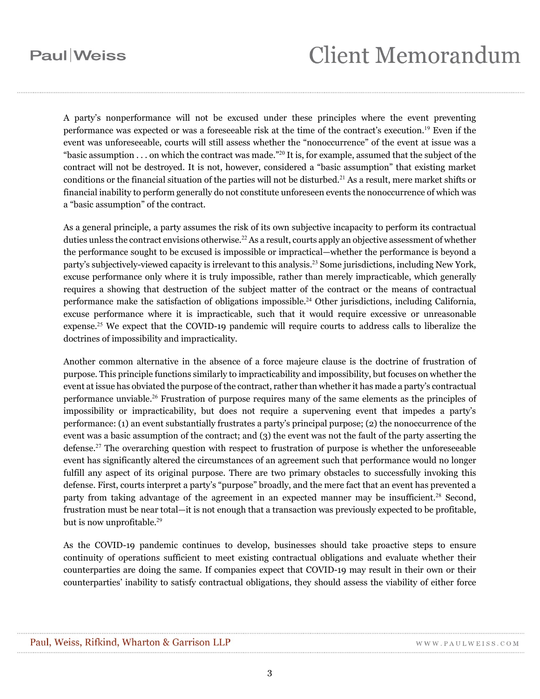# **Client Memorandum**

A party's nonperformance will not be excused under these principles where the event preventing performance was expected or was a foreseeable risk at the time of the contract's execution.<sup>19</sup> Even if the event was unforeseeable, courts will still assess whether the "nonoccurrence" of the event at issue was a "basic assumption . . . on which the contract was made."<sup>20</sup> It is, for example, assumed that the subject of the contract will not be destroyed. It is not, however, considered a "basic assumption" that existing market conditions or the financial situation of the parties will not be disturbed.<sup>21</sup> As a result, mere market shifts or financial inability to perform generally do not constitute unforeseen events the nonoccurrence of which was a "basic assumption" of the contract.

As a general principle, a party assumes the risk of its own subjective incapacity to perform its contractual duties unless the contract envisions otherwise.<sup>22</sup> As a result, courts apply an objective assessment of whether the performance sought to be excused is impossible or impractical—whether the performance is beyond a party's subjectively-viewed capacity is irrelevant to this analysis. <sup>23</sup> Some jurisdictions, including New York, excuse performance only where it is truly impossible, rather than merely impracticable, which generally requires a showing that destruction of the subject matter of the contract or the means of contractual performance make the satisfaction of obligations impossible.<sup>24</sup> Other jurisdictions, including California, excuse performance where it is impracticable, such that it would require excessive or unreasonable expense.<sup>25</sup> We expect that the COVID-19 pandemic will require courts to address calls to liberalize the doctrines of impossibility and impracticality.

Another common alternative in the absence of a force majeure clause is the doctrine of frustration of purpose. This principle functions similarly to impracticability and impossibility, but focuses on whether the event at issue has obviated the purpose of the contract, rather than whether it has made a party's contractual performance unviable. <sup>26</sup> Frustration of purpose requires many of the same elements as the principles of impossibility or impracticability, but does not require a supervening event that impedes a party's performance: (1) an event substantially frustrates a party's principal purpose; (2) the nonoccurrence of the event was a basic assumption of the contract; and (3) the event was not the fault of the party asserting the defense. <sup>27</sup> The overarching question with respect to frustration of purpose is whether the unforeseeable event has significantly altered the circumstances of an agreement such that performance would no longer fulfill any aspect of its original purpose. There are two primary obstacles to successfully invoking this defense. First, courts interpret a party's "purpose" broadly, and the mere fact that an event has prevented a party from taking advantage of the agreement in an expected manner may be insufficient.<sup>28</sup> Second, frustration must be near total—it is not enough that a transaction was previously expected to be profitable, but is now unprofitable. 29

As the COVID-19 pandemic continues to develop, businesses should take proactive steps to ensure continuity of operations sufficient to meet existing contractual obligations and evaluate whether their counterparties are doing the same. If companies expect that COVID-19 may result in their own or their counterparties' inability to satisfy contractual obligations, they should assess the viability of either force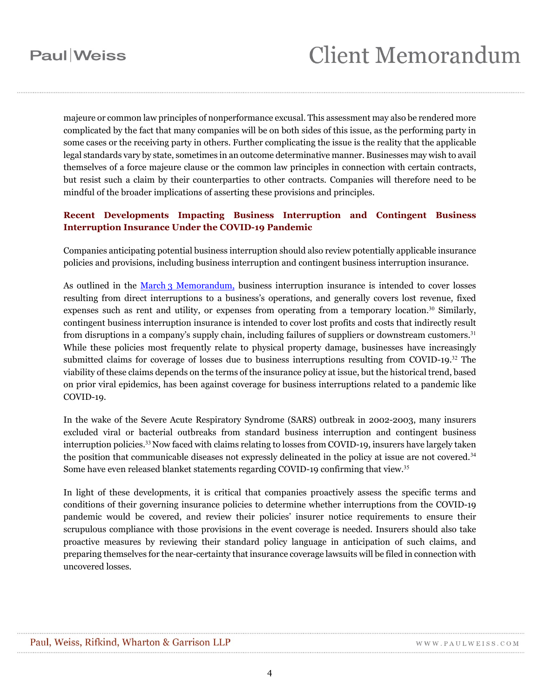# **Client Memorandum**

majeure or common law principles of nonperformance excusal. This assessment may also be rendered more complicated by the fact that many companies will be on both sides of this issue, as the performing party in some cases or the receiving party in others. Further complicating the issue is the reality that the applicable legal standards vary by state, sometimes in an outcome determinative manner. Businesses may wish to avail themselves of a force majeure clause or the common law principles in connection with certain contracts, but resist such a claim by their counterparties to other contracts. Companies will therefore need to be mindful of the broader implications of asserting these provisions and principles.

#### **Recent Developments Impacting Business Interruption and Contingent Business Interruption Insurance Under the COVID-19 Pandemic**

Companies anticipating potential business interruption should also review potentially applicable insurance policies and provisions, including business interruption and contingent business interruption insurance.

As outlined in the March [3 Memorandum,](https://www.paulweiss.com/practices/litigation/litigation/publications/force-majeure-in-the-wake-of-the-coronavirus-covid-19?id=30746) business interruption insurance is intended to cover losses resulting from direct interruptions to a business's operations, and generally covers lost revenue, fixed expenses such as rent and utility, or expenses from operating from a temporary location.<sup>30</sup> Similarly, contingent business interruption insurance is intended to cover lost profits and costs that indirectly result from disruptions in a company's supply chain, including failures of suppliers or downstream customers.<sup>31</sup> While these policies most frequently relate to physical property damage, businesses have increasingly submitted claims for coverage of losses due to business interruptions resulting from COVID-19. $32$  The viability of these claims depends on the terms of the insurance policy at issue, but the historical trend, based on prior viral epidemics, has been against coverage for business interruptions related to a pandemic like COVID-19.

In the wake of the Severe Acute Respiratory Syndrome (SARS) outbreak in 2002-2003, many insurers excluded viral or bacterial outbreaks from standard business interruption and contingent business interruption policies.<sup>33</sup> Now faced with claims relating to losses from COVID-19, insurers have largely taken the position that communicable diseases not expressly delineated in the policy at issue are not covered.<sup>34</sup> Some have even released blanket statements regarding COVID-19 confirming that view.<sup>35</sup>

In light of these developments, it is critical that companies proactively assess the specific terms and conditions of their governing insurance policies to determine whether interruptions from the COVID-19 pandemic would be covered, and review their policies' insurer notice requirements to ensure their scrupulous compliance with those provisions in the event coverage is needed. Insurers should also take proactive measures by reviewing their standard policy language in anticipation of such claims, and preparing themselves for the near-certainty that insurance coverage lawsuits will be filed in connection with uncovered losses.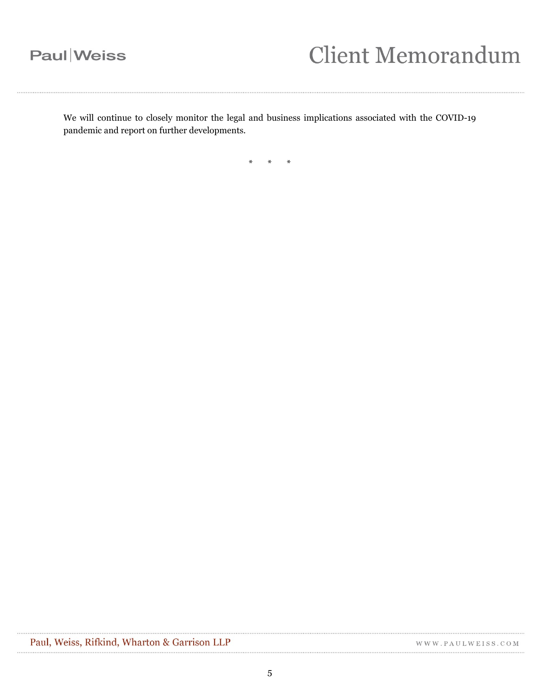# **Client Memorandum**

We will continue to closely monitor the legal and business implications associated with the COVID-19 pandemic and report on further developments.

\* \* \*

WWW.PAULWEISS.COM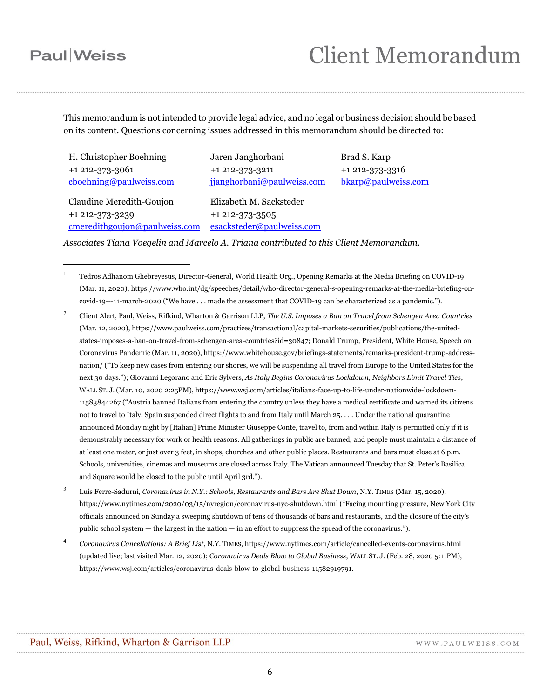$\overline{a}$ 

## **Client Memorandum**

Brad S. Karp +1 212-373-3316 [bkarp@paulweiss.com](mailto:bkarp@paulweiss.com)

This memorandum is not intended to provide legal advice, and no legal or business decision should be based on its content. Questions concerning issues addressed in this memorandum should be directed to:

H. Christopher Boehning +1 212-373-3061 [cboehning@paulweiss.com](mailto:cboehning@paulweiss.com)

Jaren Janghorbani +1 212-373-3211 [jjanghorbani@paulweiss.com](mailto:jjanghorbani@paulweiss.com)

Claudine Meredith-Goujon +1 212-373-3239 [cmeredithgoujon@paulweiss.com](mailto:cmeredithgoujon@paulweiss.com)

Elizabeth M. Sacksteder +1 212-373-3505 [esacksteder@paulweiss.com](mailto:esacksteder@paulweiss.com)

*Associates Tiana Voegelin and Marcelo A. Triana contributed to this Client Memorandum.*

<sup>1</sup> Tedros Adhanom Ghebreyesus, Director-General, World Health Org., Opening Remarks at the Media Briefing on COVID-19 (Mar. 11, 2020), https://www.who.int/dg/speeches/detail/who-director-general-s-opening-remarks-at-the-media-briefing-oncovid-19---11-march-2020 ("We have . . . made the assessment that COVID-19 can be characterized as a pandemic.").

- <sup>2</sup> Client Alert, Paul, Weiss, Rifkind, Wharton & Garrison LLP, *The U.S. Imposes a Ban on Travel from Schengen Area Countries* (Mar. 12, 2020), https://www.paulweiss.com/practices/transactional/capital-markets-securities/publications/the-unitedstates-imposes-a-ban-on-travel-from-schengen-area-countries?id=30847; Donald Trump, President, White House, Speech on Coronavirus Pandemic (Mar. 11, 2020), https://www.whitehouse.gov/briefings-statements/remarks-president-trump-addressnation/ ("To keep new cases from entering our shores, we will be suspending all travel from Europe to the United States for the next 30 days."); Giovanni Legorano and Eric Sylvers, *As Italy Begins Coronavirus Lockdown, Neighbors Limit Travel Ties*, WALL ST. J. (Mar. 10, 2020 2:25PM), https://www.wsj.com/articles/italians-face-up-to-life-under-nationwide-lockdown-11583844267 ("Austria banned Italians from entering the country unless they have a medical certificate and warned its citizens not to travel to Italy. Spain suspended direct flights to and from Italy until March 25. . . . Under the national quarantine announced Monday night by [Italian] Prime Minister Giuseppe Conte, travel to, from and within Italy is permitted only if it is demonstrably necessary for work or health reasons. All gatherings in public are banned, and people must maintain a distance of at least one meter, or just over 3 feet, in shops, churches and other public places. Restaurants and bars must close at 6 p.m. Schools, universities, cinemas and museums are closed across Italy. The Vatican announced Tuesday that St. Peter's Basilica and Square would be closed to the public until April 3rd.").
- <sup>3</sup> Luis Ferre-Sadurni, *Coronavirus in N.Y.: Schools, Restaurants and Bars Are Shut Down*, N.Y. TIMES (Mar. 15, 2020), https://www.nytimes.com/2020/03/15/nyregion/coronavirus-nyc-shutdown.html ("Facing mounting pressure, New York City officials announced on Sunday a sweeping shutdown of tens of thousands of bars and restaurants, and the closure of the city's public school system — the largest in the nation — in an effort to suppress the spread of the coronavirus.").
- <sup>4</sup> *Coronavirus Cancellations: A Brief List*, N.Y. TIMES, https://www.nytimes.com/article/cancelled-events-coronavirus.html (updated live; last visited Mar. 12, 2020); *Coronavirus Deals Blow to Global Business*, WALL ST. J. (Feb. 28, 2020 5:11PM), https://www.wsj.com/articles/coronavirus-deals-blow-to-global-business-11582919791.

WWW.PAULWEISS.COM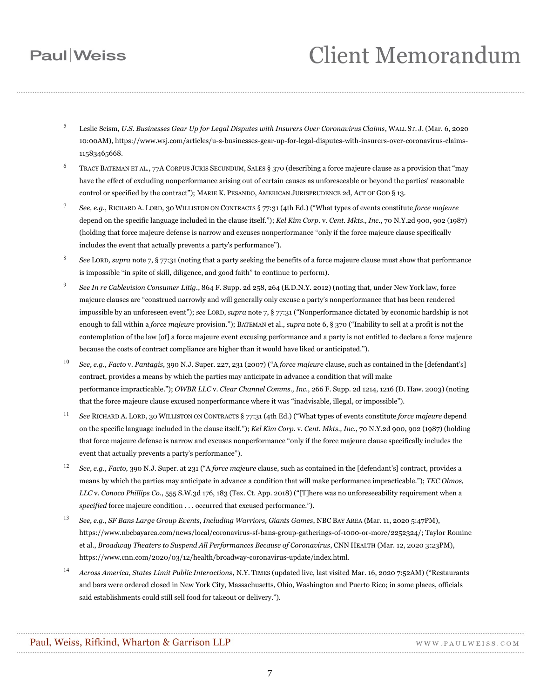# **Client Memorandum**

- <sup>5</sup> Leslie Scism, *U.S. Businesses Gear Up for Legal Disputes with Insurers Over Coronavirus Claims*, WALL ST. J. (Mar. 6, 2020 10:00AM), https://www.wsj.com/articles/u-s-businesses-gear-up-for-legal-disputes-with-insurers-over-coronavirus-claims-11583465668.
- <sup>6</sup> TRACY BATEMAN ET AL., 77A CORPUS JURIS SECUNDUM, SALES § 370 (describing a force majeure clause as a provision that "may have the effect of excluding nonperformance arising out of certain causes as unforeseeable or beyond the parties' reasonable control or specified by the contract"); MARIE K. PESANDO, AMERICAN JURISPRUDENCE 2d, ACT OF GOD § 13.
- 7 *See, e.g.*, RICHARD A. LORD, 30 WILLISTON ON CONTRACTS § 77:31 (4th Ed.) ("What types of events constitute *force majeure*  depend on the specific language included in the clause itself."); *Kel Kim Corp.* v. *Cent. Mkts., Inc.*, 70 N.Y.2d 900, 902 (1987) (holding that force majeure defense is narrow and excuses nonperformance "only if the force majeure clause specifically includes the event that actually prevents a party's performance").
- 8 *See* LORD, *supra* note 7, § 77:31 (noting that a party seeking the benefits of a force majeure clause must show that performance is impossible "in spite of skill, diligence, and good faith" to continue to perform).
- $\overline{Q}$ *See In re Cablevision Consumer Litig.*, 864 F. Supp. 2d 258, 264 (E.D.N.Y. 2012) (noting that, under New York law, force majeure clauses are "construed narrowly and will generally only excuse a party's nonperformance that has been rendered impossible by an unforeseen event"); *see* LORD, *supra* note 7, § 77:31 ("Nonperformance dictated by economic hardship is not enough to fall within a *force majeure* provision."); BATEMAN et al., *supra* note 6, § 370 ("Inability to sell at a profit is not the contemplation of the law [of] a force majeure event excusing performance and a party is not entitled to declare a force majeure because the costs of contract compliance are higher than it would have liked or anticipated.").
- <sup>10</sup> *See, e.g.*, *Facto* v. *Pantagis*, 390 N.J. Super. 227, 231 (2007) ("A *force majeure* clause, such as contained in the [defendant's] contract, provides a means by which the parties may anticipate in advance a condition that will make performance impracticable."); *OWBR LLC* v. *Clear Channel Comms., Inc.*, 266 F. Supp. 2d 1214, 1216 (D. Haw. 2003) (noting that the force majeure clause excused nonperformance where it was "inadvisable, illegal, or impossible").
- <sup>11</sup> *See* RICHARD A. LORD, 30 WILLISTON ON CONTRACTS § 77:31 (4th Ed.) ("What types of events constitute *force majeure* depend on the specific language included in the clause itself."); *Kel Kim Corp.* v. *Cent. Mkts., Inc.*, 70 N.Y.2d 900, 902 (1987) (holding that force majeure defense is narrow and excuses nonperformance "only if the force majeure clause specifically includes the event that actually prevents a party's performance").
- <sup>12</sup> *See, e.g.*, *Facto*, 390 N.J. Super. at 231 ("A *force majeure* clause, such as contained in the [defendant's] contract, provides a means by which the parties may anticipate in advance a condition that will make performance impracticable."); *TEC Olmos, LLC* v. *Conoco Phillips Co.*, 555 S.W.3d 176, 183 (Tex. Ct. App. 2018) ("[T]here was no unforeseeability requirement when a *specified* force majeure condition . . . occurred that excused performance.").
- <sup>13</sup> *See, e.g.*, *SF Bans Large Group Events, Including Warriors, Giants Games*, NBC BAY AREA (Mar. 11, 2020 5:47PM), https://www.nbcbayarea.com/news/local/coronavirus-sf-bans-group-gatherings-of-1000-or-more/2252324/; Taylor Romine et al., *Broadway Theaters to Suspend All Performances Because of Coronavirus*, CNN HEALTH (Mar. 12, 2020 3:23PM), https://www.cnn.com/2020/03/12/health/broadway-coronavirus-update/index.html.
- <sup>14</sup> *Across America, States Limit Public Interactions***,** N.Y. TIMES (updated live, last visited Mar. 16, 2020 7:52AM) ("Restaurants and bars were ordered closed in New York City, Massachusetts, Ohio, Washington and Puerto Rico; in some places, officials said establishments could still sell food for takeout or delivery.").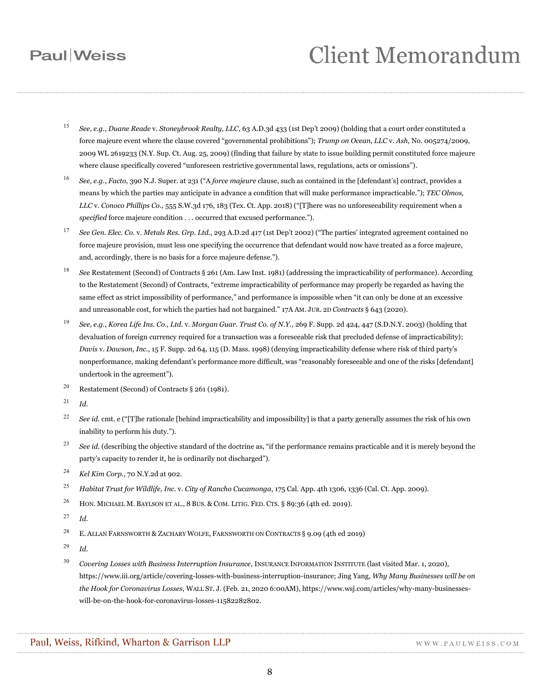# **Client Memorandum**

- <sup>15</sup> *See, e.g.*, *Duane Reade* v. *Stoneybrook Realty, LLC*, 63 A.D.3d 433 (1st Dep't 2009) (holding that a court order constituted a force majeure event where the clause covered "governmental prohibitions"); *Trump on Ocean, LLC* v. *Ash*, No. 005274/2009, 2009 WL 2619233 (N.Y. Sup. Ct. Aug. 25, 2009) (finding that failure by state to issue building permit constituted force majeure where clause specifically covered "unforeseen restrictive governmental laws, regulations, acts or omissions").
- <sup>16</sup> *See, e.g.*, *Facto*, 390 N.J. Super. at 231 ("A *force majeure* clause, such as contained in the [defendant's] contract, provides a means by which the parties may anticipate in advance a condition that will make performance impracticable."); *TEC Olmos, LLC* v. *Conoco Phillips Co.*, 555 S.W.3d 176, 183 (Tex. Ct. App. 2018) ("[T]here was no unforeseeability requirement when a *specified* force majeure condition . . . occurred that excused performance.").
- <sup>17</sup> *See Gen. Elec. Co.* v. *Metals Res. Grp. Ltd.*, 293 A.D.2d 417 (1st Dep't 2002) ("The parties' integrated agreement contained no force majeure provision, must less one specifying the occurrence that defendant would now have treated as a force majeure, and, accordingly, there is no basis for a force majeure defense.").
- <sup>18</sup> *See* Restatement (Second) of Contracts § 261 (Am. Law Inst. 1981) (addressing the impracticability of performance). According to the Restatement (Second) of Contracts, "extreme impracticability of performance may properly be regarded as having the same effect as strict impossibility of performance," and performance is impossible when "it can only be done at an excessive and unreasonable cost, for which the parties had not bargained." 17A AM. JUR. 2D *Contracts* § 643 (2020).
- <sup>19</sup> *See, e.g.*, *Korea Life Ins. Co., Ltd.* v. *Morgan Guar. Trust Co. of N.Y.*, 269 F. Supp. 2d 424, 447 (S.D.N.Y. 2003) (holding that devaluation of foreign currency required for a transaction was a foreseeable risk that precluded defense of impracticability); *Davis* v. *Dawson, Inc.*, 15 F. Supp. 2d 64, 115 (D. Mass. 1998) (denying impracticability defense where risk of third party's nonperformance, making defendant's performance more difficult, was "reasonably foreseeable and one of the risks [defendant] undertook in the agreement").
- <sup>20</sup> Restatement (Second) of Contracts § 261 (1981).
- <sup>21</sup> *Id.*
- <sup>22</sup> *See id.* cmt. e ("[T]he rationale [behind impracticability and impossibility] is that a party generally assumes the risk of his own inability to perform his duty.").
- <sup>23</sup> *See id.* (describing the objective standard of the doctrine as, "if the performance remains practicable and it is merely beyond the party's capacity to render it, he is ordinarily not discharged").
- <sup>24</sup> *Kel Kim Corp.*, 70 N.Y.2d at 902.
- <sup>25</sup> *Habitat Trust for Wildlife, Inc.* v. *City of Rancho Cucamonga*, 175 Cal. App. 4th 1306, 1336 (Cal. Ct. App. 2009).
- <sup>26</sup> HON. MICHAEL M. BAYLSON ET AL., 8 BUS. & COM. LITIG. FED. CTS. § 89:36 (4th ed. 2019).
- $^{27}$  *Id.*
- <sup>28</sup> E. ALLAN FARNSWORTH & ZACHARY WOLFE, FARNSWORTH ON CONTRACTS § 9.09 (4th ed 2019)
- <sup>29</sup> *Id.*
- <sup>30</sup> *Covering Losses with Business Interruption Insurance*, INSURANCE INFORMATION INSTITUTE (last visited Mar. 1, 2020), https://www.iii.org/article/covering-losses-with-business-interruption-insurance; Jing Yang, *Why Many Businesses will be on the Hook for Coronavirus Losses*, WALL ST. J. (Feb. 21, 2020 6:00AM), https://www.wsj.com/articles/why-many-businesseswill-be-on-the-hook-for-coronavirus-losses-11582282802.